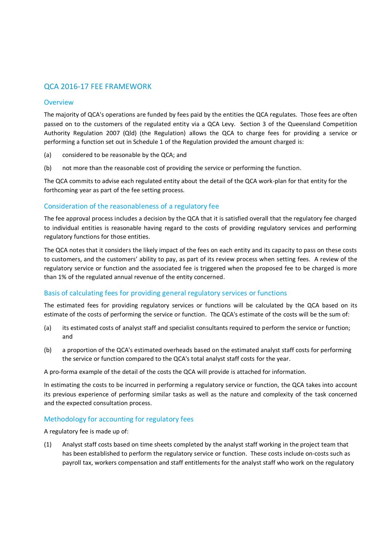# QCA 2016-17 FEE FRAMEWORK

### **Overview**

The majority of QCA's operations are funded by fees paid by the entities the QCA regulates. Those fees are often passed on to the customers of the regulated entity via a QCA Levy. Section 3 of the Queensland Competition Authority Regulation 2007 (Qld) (the Regulation) allows the QCA to charge fees for providing a service or performing a function set out in Schedule 1 of the Regulation provided the amount charged is:

- (a) considered to be reasonable by the QCA; and
- (b) not more than the reasonable cost of providing the service or performing the function.

The QCA commits to advise each regulated entity about the detail of the QCA work-plan for that entity for the forthcoming year as part of the fee setting process.

## Consideration of the reasonableness of a regulatory fee

The fee approval process includes a decision by the QCA that it is satisfied overall that the regulatory fee charged to individual entities is reasonable having regard to the costs of providing regulatory services and performing regulatory functions for those entities.

The QCA notes that it considers the likely impact of the fees on each entity and its capacity to pass on these costs to customers, and the customers' ability to pay, as part of its review process when setting fees. A review of the regulatory service or function and the associated fee is triggered when the proposed fee to be charged is more than 1% of the regulated annual revenue of the entity concerned.

## Basis of calculating fees for providing general regulatory services or functions

The estimated fees for providing regulatory services or functions will be calculated by the QCA based on its estimate of the costs of performing the service or function. The QCA's estimate of the costs will be the sum of:

- (a) its estimated costs of analyst staff and specialist consultants required to perform the service or function; and
- (b) a proportion of the QCA's estimated overheads based on the estimated analyst staff costs for performing the service or function compared to the QCA's total analyst staff costs for the year.

A pro-forma example of the detail of the costs the QCA will provide is attached for information.

In estimating the costs to be incurred in performing a regulatory service or function, the QCA takes into account its previous experience of performing similar tasks as well as the nature and complexity of the task concerned and the expected consultation process.

## Methodology for accounting for regulatory fees

A regulatory fee is made up of:

(1) Analyst staff costs based on time sheets completed by the analyst staff working in the project team that has been established to perform the regulatory service or function. These costs include on-costs such as payroll tax, workers compensation and staff entitlements for the analyst staff who work on the regulatory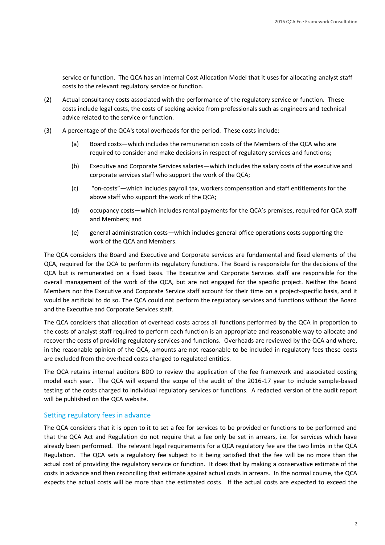service or function. The QCA has an internal Cost Allocation Model that it uses for allocating analyst staff costs to the relevant regulatory service or function.

- (2) Actual consultancy costs associated with the performance of the regulatory service or function. These costs include legal costs, the costs of seeking advice from professionals such as engineers and technical advice related to the service or function.
- (3) A percentage of the QCA's total overheads for the period. These costs include:
	- (a) Board costs—which includes the remuneration costs of the Members of the QCA who are required to consider and make decisions in respect of regulatory services and functions;
	- (b) Executive and Corporate Services salaries—which includes the salary costs of the executive and corporate services staff who support the work of the QCA;
	- (c) "on-costs"—which includes payroll tax, workers compensation and staff entitlements for the above staff who support the work of the QCA;
	- (d) occupancy costs—which includes rental payments for the QCA's premises, required for QCA staff and Members; and
	- (e) general administration costs—which includes general office operations costs supporting the work of the QCA and Members.

The QCA considers the Board and Executive and Corporate services are fundamental and fixed elements of the QCA, required for the QCA to perform its regulatory functions. The Board is responsible for the decisions of the QCA but is remunerated on a fixed basis. The Executive and Corporate Services staff are responsible for the overall management of the work of the QCA, but are not engaged for the specific project. Neither the Board Members nor the Executive and Corporate Service staff account for their time on a project-specific basis, and it would be artificial to do so. The QCA could not perform the regulatory services and functions without the Board and the Executive and Corporate Services staff.

The QCA considers that allocation of overhead costs across all functions performed by the QCA in proportion to the costs of analyst staff required to perform each function is an appropriate and reasonable way to allocate and recover the costs of providing regulatory services and functions. Overheads are reviewed by the QCA and where, in the reasonable opinion of the QCA, amounts are not reasonable to be included in regulatory fees these costs are excluded from the overhead costs charged to regulated entities.

The QCA retains internal auditors BDO to review the application of the fee framework and associated costing model each year. The QCA will expand the scope of the audit of the 2016-17 year to include sample-based testing of the costs charged to individual regulatory services or functions. A redacted version of the audit report will be published on the QCA website.

## Setting regulatory fees in advance

The QCA considers that it is open to it to set a fee for services to be provided or functions to be performed and that the QCA Act and Regulation do not require that a fee only be set in arrears, i.e. for services which have already been performed. The relevant legal requirements for a QCA regulatory fee are the two limbs in the QCA Regulation. The QCA sets a regulatory fee subject to it being satisfied that the fee will be no more than the actual cost of providing the regulatory service or function. It does that by making a conservative estimate of the costs in advance and then reconciling that estimate against actual costs in arrears. In the normal course, the QCA expects the actual costs will be more than the estimated costs. If the actual costs are expected to exceed the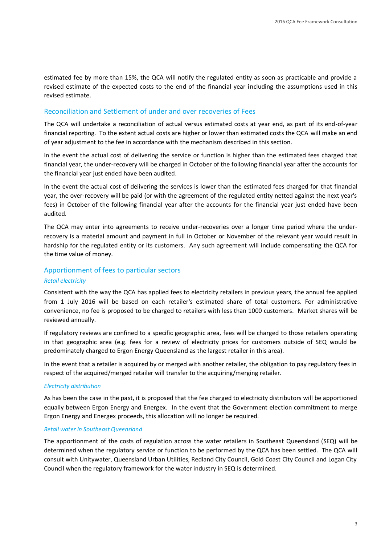estimated fee by more than 15%, the QCA will notify the regulated entity as soon as practicable and provide a revised estimate of the expected costs to the end of the financial year including the assumptions used in this revised estimate.

### Reconciliation and Settlement of under and over recoveries of Fees

The QCA will undertake a reconciliation of actual versus estimated costs at year end, as part of its end-of-year financial reporting. To the extent actual costs are higher or lower than estimated costs the QCA will make an end of year adjustment to the fee in accordance with the mechanism described in this section.

In the event the actual cost of delivering the service or function is higher than the estimated fees charged that financial year, the under-recovery will be charged in October of the following financial year after the accounts for the financial year just ended have been audited.

In the event the actual cost of delivering the services is lower than the estimated fees charged for that financial year, the over-recovery will be paid (or with the agreement of the regulated entity netted against the next year's fees) in October of the following financial year after the accounts for the financial year just ended have been audited.

The QCA may enter into agreements to receive under-recoveries over a longer time period where the underrecovery is a material amount and payment in full in October or November of the relevant year would result in hardship for the regulated entity or its customers. Any such agreement will include compensating the QCA for the time value of money.

### Apportionment of fees to particular sectors

#### *Retail electricity*

Consistent with the way the QCA has applied fees to electricity retailers in previous years, the annual fee applied from 1 July 2016 will be based on each retailer's estimated share of total customers. For administrative convenience, no fee is proposed to be charged to retailers with less than 1000 customers. Market shares will be reviewed annually.

If regulatory reviews are confined to a specific geographic area, fees will be charged to those retailers operating in that geographic area (e.g. fees for a review of electricity prices for customers outside of SEQ would be predominately charged to Ergon Energy Queensland as the largest retailer in this area).

In the event that a retailer is acquired by or merged with another retailer, the obligation to pay regulatory fees in respect of the acquired/merged retailer will transfer to the acquiring/merging retailer.

#### *Electricity distribution*

As has been the case in the past, it is proposed that the fee charged to electricity distributors will be apportioned equally between Ergon Energy and Energex. In the event that the Government election commitment to merge Ergon Energy and Energex proceeds, this allocation will no longer be required.

#### *Retail water in Southeast Queensland*

The apportionment of the costs of regulation across the water retailers in Southeast Queensland (SEQ) will be determined when the regulatory service or function to be performed by the QCA has been settled. The QCA will consult with Unitywater, Queensland Urban Utilities, Redland City Council, Gold Coast City Council and Logan City Council when the regulatory framework for the water industry in SEQ is determined.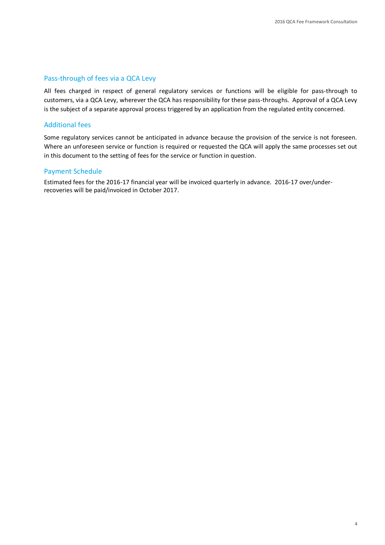## Pass-through of fees via a QCA Levy

All fees charged in respect of general regulatory services or functions will be eligible for pass-through to customers, via a QCA Levy, wherever the QCA has responsibility for these pass-throughs. Approval of a QCA Levy is the subject of a separate approval process triggered by an application from the regulated entity concerned.

## Additional fees

Some regulatory services cannot be anticipated in advance because the provision of the service is not foreseen. Where an unforeseen service or function is required or requested the QCA will apply the same processes set out in this document to the setting of fees for the service or function in question.

## Payment Schedule

Estimated fees for the 2016-17 financial year will be invoiced quarterly in advance. 2016-17 over/underrecoveries will be paid/invoiced in October 2017.